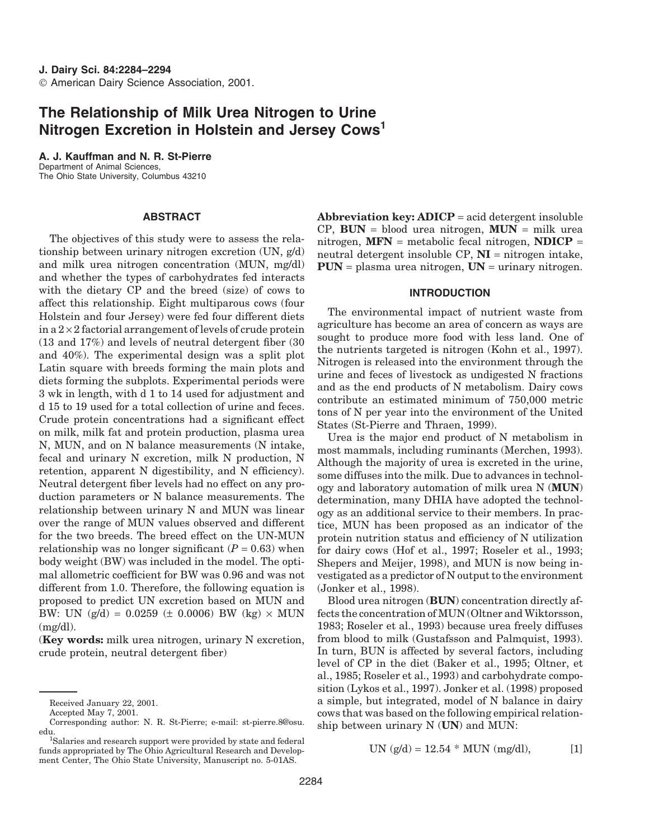# **The Relationship of Milk Urea Nitrogen to Urine Nitrogen Excretion in Holstein and Jersey Cows1**

**A. J. Kauffman and N. R. St-Pierre** Department of Animal Sciences, The Ohio State University, Columbus 43210

# **ABSTRACT**

The objectives of this study were to assess the relationship between urinary nitrogen excretion (UN, g/d) and milk urea nitrogen concentration (MUN, mg/dl) and whether the types of carbohydrates fed interacts with the dietary CP and the breed (size) of cows to affect this relationship. Eight multiparous cows (four Holstein and four Jersey) were fed four different diets in a  $2 \times 2$  factorial arrangement of levels of crude protein (13 and 17%) and levels of neutral detergent fiber (30 and 40%). The experimental design was a split plot Latin square with breeds forming the main plots and diets forming the subplots. Experimental periods were 3 wk in length, with d 1 to 14 used for adjustment and d 15 to 19 used for a total collection of urine and feces. Crude protein concentrations had a significant effect on milk, milk fat and protein production, plasma urea N, MUN, and on N balance measurements (N intake, fecal and urinary N excretion, milk N production, N retention, apparent N digestibility, and N efficiency). Neutral detergent fiber levels had no effect on any production parameters or N balance measurements. The relationship between urinary N and MUN was linear over the range of MUN values observed and different for the two breeds. The breed effect on the UN-MUN relationship was no longer significant  $(P = 0.63)$  when body weight (BW) was included in the model. The optimal allometric coefficient for BW was 0.96 and was not different from 1.0. Therefore, the following equation is proposed to predict UN excretion based on MUN and BW: UN  $(g/d) = 0.0259 \ (\pm 0.0006)$  BW  $(kg) \times MUN$  $(mg/dl)$ .

(**Key words:** milk urea nitrogen, urinary N excretion, crude protein, neutral detergent fiber)

**Abbreviation key: ADICP** = acid detergent insoluble CP, **BUN** = blood urea nitrogen, **MUN** = milk urea nitrogen, **MFN** = metabolic fecal nitrogen, **NDICP** = neutral detergent insoluble  $CP$ ,  $NI$  = nitrogen intake, **PUN** = plasma urea nitrogen, **UN** = urinary nitrogen.

## **INTRODUCTION**

The environmental impact of nutrient waste from agriculture has become an area of concern as ways are sought to produce more food with less land. One of the nutrients targeted is nitrogen (Kohn et al., 1997). Nitrogen is released into the environment through the urine and feces of livestock as undigested N fractions and as the end products of N metabolism. Dairy cows contribute an estimated minimum of 750,000 metric tons of N per year into the environment of the United States (St-Pierre and Thraen, 1999).

Urea is the major end product of N metabolism in most mammals, including ruminants (Merchen, 1993). Although the majority of urea is excreted in the urine, some diffuses into the milk. Due to advances in technology and laboratory automation of milk urea N (**MUN**) determination, many DHIA have adopted the technology as an additional service to their members. In practice, MUN has been proposed as an indicator of the protein nutrition status and efficiency of N utilization for dairy cows (Hof et al., 1997; Roseler et al., 1993; Shepers and Meijer, 1998), and MUN is now being investigated as a predictor of N output to the environment (Jonker et al., 1998).

Blood urea nitrogen (**BUN**) concentration directly affects the concentration of MUN (Oltner and Wiktorsson, 1983; Roseler et al., 1993) because urea freely diffuses from blood to milk (Gustafsson and Palmquist, 1993). In turn, BUN is affected by several factors, including level of CP in the diet (Baker et al., 1995; Oltner, et al., 1985; Roseler et al., 1993) and carbohydrate composition (Lykos et al., 1997). Jonker et al. (1998) proposed a simple, but integrated, model of N balance in dairy cows that was based on the following empirical relationship between urinary N (**UN**) and MUN:

UN 
$$
(g/d) = 12.54 * MUN (mg/dl),
$$
 [1]

Received January 22, 2001.

Accepted May 7, 2001.

Corresponding author: N. R. St-Pierre; e-mail: st-pierre.8@osu. edu. <sup>1</sup>

Salaries and research support were provided by state and federal funds appropriated by The Ohio Agricultural Research and Development Center, The Ohio State University, Manuscript no. 5-01AS.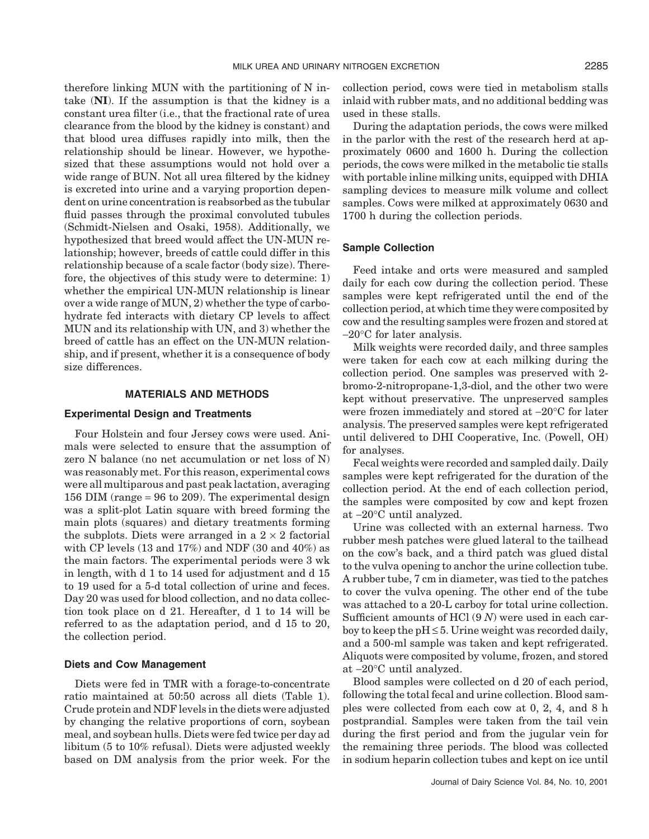therefore linking MUN with the partitioning of N intake (**NI**). If the assumption is that the kidney is a constant urea filter (i.e., that the fractional rate of urea clearance from the blood by the kidney is constant) and that blood urea diffuses rapidly into milk, then the relationship should be linear. However, we hypothesized that these assumptions would not hold over a wide range of BUN. Not all urea filtered by the kidney is excreted into urine and a varying proportion dependent on urine concentration is reabsorbed as the tubular fluid passes through the proximal convoluted tubules (Schmidt-Nielsen and Osaki, 1958). Additionally, we hypothesized that breed would affect the UN-MUN relationship; however, breeds of cattle could differ in this relationship because of a scale factor (body size). Therefore, the objectives of this study were to determine: 1) whether the empirical UN-MUN relationship is linear over a wide range of MUN, 2) whether the type of carbohydrate fed interacts with dietary CP levels to affect MUN and its relationship with UN, and 3) whether the breed of cattle has an effect on the UN-MUN relationship, and if present, whether it is a consequence of body size differences.

#### **MATERIALS AND METHODS**

## **Experimental Design and Treatments**

Four Holstein and four Jersey cows were used. Animals were selected to ensure that the assumption of zero N balance (no net accumulation or net loss of N) was reasonably met. For this reason, experimental cows were all multiparous and past peak lactation, averaging 156 DIM (range = 96 to 209). The experimental design was a split-plot Latin square with breed forming the main plots (squares) and dietary treatments forming the subplots. Diets were arranged in a  $2 \times 2$  factorial with CP levels (13 and 17%) and NDF (30 and 40%) as the main factors. The experimental periods were 3 wk in length, with d 1 to 14 used for adjustment and d 15 to 19 used for a 5-d total collection of urine and feces. Day 20 was used for blood collection, and no data collection took place on d 21. Hereafter, d 1 to 14 will be referred to as the adaptation period, and d 15 to 20, the collection period.

### **Diets and Cow Management**

Diets were fed in TMR with a forage-to-concentrate ratio maintained at 50:50 across all diets (Table 1). Crude protein and NDF levels in the diets were adjusted by changing the relative proportions of corn, soybean meal, and soybean hulls. Diets were fed twice per day ad libitum (5 to 10% refusal). Diets were adjusted weekly based on DM analysis from the prior week. For the collection period, cows were tied in metabolism stalls inlaid with rubber mats, and no additional bedding was used in these stalls.

During the adaptation periods, the cows were milked in the parlor with the rest of the research herd at approximately 0600 and 1600 h. During the collection periods, the cows were milked in the metabolic tie stalls with portable inline milking units, equipped with DHIA sampling devices to measure milk volume and collect samples. Cows were milked at approximately 0630 and 1700 h during the collection periods.

### **Sample Collection**

Feed intake and orts were measured and sampled daily for each cow during the collection period. These samples were kept refrigerated until the end of the collection period, at which time they were composited by cow and the resulting samples were frozen and stored at −20°C for later analysis.

Milk weights were recorded daily, and three samples were taken for each cow at each milking during the collection period. One samples was preserved with 2 bromo-2-nitropropane-1,3-diol, and the other two were kept without preservative. The unpreserved samples were frozen immediately and stored at −20°C for later analysis. The preserved samples were kept refrigerated until delivered to DHI Cooperative, Inc. (Powell, OH) for analyses.

Fecal weights were recorded and sampled daily. Daily samples were kept refrigerated for the duration of the collection period. At the end of each collection period, the samples were composited by cow and kept frozen at −20°C until analyzed.

Urine was collected with an external harness. Two rubber mesh patches were glued lateral to the tailhead on the cow's back, and a third patch was glued distal to the vulva opening to anchor the urine collection tube. A rubber tube, 7 cm in diameter, was tied to the patches to cover the vulva opening. The other end of the tube was attached to a 20-L carboy for total urine collection. Sufficient amounts of HCl (9 *N*) were used in each carboy to keep the  $pH \leq 5$ . Urine weight was recorded daily, and a 500-ml sample was taken and kept refrigerated. Aliquots were composited by volume, frozen, and stored at −20°C until analyzed.

Blood samples were collected on d 20 of each period, following the total fecal and urine collection. Blood samples were collected from each cow at 0, 2, 4, and 8 h postprandial. Samples were taken from the tail vein during the first period and from the jugular vein for the remaining three periods. The blood was collected in sodium heparin collection tubes and kept on ice until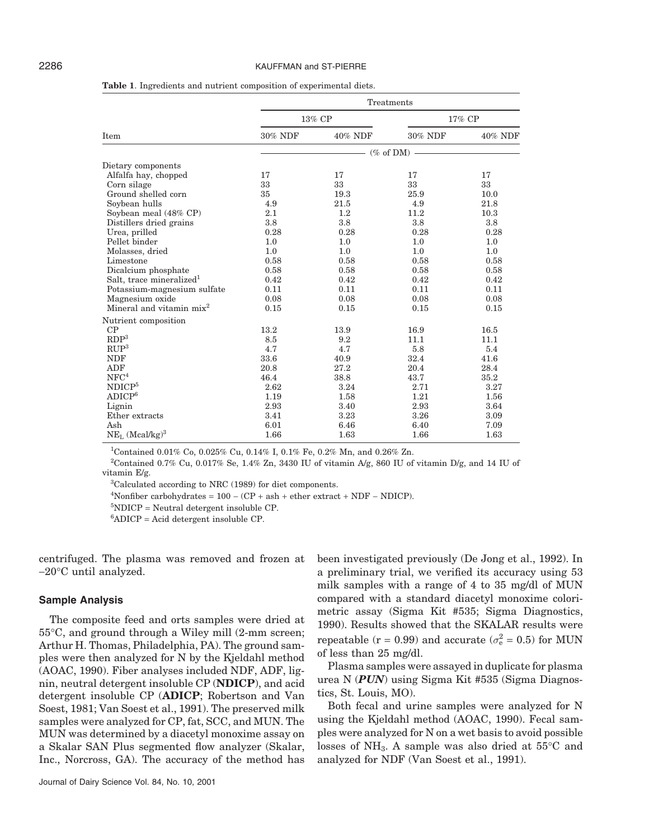#### 2286 KAUFFMAN and ST-PIERRE

|                                      |         |                 | Treatments |         |
|--------------------------------------|---------|-----------------|------------|---------|
|                                      |         | 13% CP          |            | 17% CP  |
| Item                                 | 30% NDF | 40% NDF         | 30% NDF    | 40% NDF |
|                                      |         | $-$ (% of DM) - |            |         |
| Dietary components                   |         |                 |            |         |
| Alfalfa hay, chopped                 | 17      | 17              | 17         | 17      |
| Corn silage                          | 33      | 33              | 33         | 33      |
| Ground shelled corn                  | 35      | 19.3            | 25.9       | 10.0    |
| Soybean hulls                        | 4.9     | 21.5            | 4.9        | 21.8    |
| Soybean meal (48% CP)                | 2.1     | $1.2\,$         | 11.2       | 10.3    |
| Distillers dried grains              | 3.8     | 3.8             | 3.8        | 3.8     |
| Urea, prilled                        | 0.28    | 0.28            | 0.28       | 0.28    |
| Pellet binder                        | 1.0     | 1.0             | 1.0        | 1.0     |
| Molasses, dried                      | 1.0     | 1.0             | 1.0        | 1.0     |
| Limestone                            | 0.58    | 0.58            | 0.58       | 0.58    |
| Dicalcium phosphate                  | 0.58    | 0.58            | 0.58       | 0.58    |
| Salt, trace mineralized <sup>1</sup> | 0.42    | 0.42            | 0.42       | 0.42    |
| Potassium-magnesium sulfate          | 0.11    | 0.11            | 0.11       | 0.11    |
| Magnesium oxide                      | 0.08    | 0.08            | 0.08       | 0.08    |
| Mineral and vitamin $mix^2$          | 0.15    | 0.15            | 0.15       | 0.15    |
| Nutrient composition                 |         |                 |            |         |
| CP                                   | 13.2    | 13.9            | 16.9       | 16.5    |
| RDP <sup>3</sup>                     | 8.5     | 9.2             | 11.1       | 11.1    |
| RUP <sup>3</sup>                     | 4.7     | 4.7             | 5.8        | 5.4     |
| <b>NDF</b>                           | 33.6    | 40.9            | 32.4       | 41.6    |
| <b>ADF</b>                           | 20.8    | 27.2            | 20.4       | 28.4    |
| NFC <sup>4</sup>                     | 46.4    | 38.8            | 43.7       | 35.2    |
| NDICP <sup>5</sup>                   | 2.62    | 3.24            | 2.71       | 3.27    |
| ADICP <sup>6</sup>                   | 1.19    | 1.58            | 1.21       | 1.56    |
| Lignin                               | 2.93    | 3.40            | 2.93       | 3.64    |
| Ether extracts                       | 3.41    | 3.23            | 3.26       | 3.09    |
| Ash                                  | 6.01    | 6.46            | 6.40       | 7.09    |
| $NE_{L}$ (Mcal/kg) <sup>3</sup>      | 1.66    | 1.63            | 1.66       | 1.63    |

**Table 1**. Ingredients and nutrient composition of experimental diets.

<sup>1</sup>Contained 0.01% Co, 0.025% Cu, 0.14% I, 0.1% Fe, 0.2% Mn, and 0.26% Zn.

<sup>2</sup>Contained 0.7% Cu, 0.017% Se, 1.4% Zn, 3430 IU of vitamin A/g, 860 IU of vitamin D/g, and 14 IU of vitamin E/g.

3 Calculated according to NRC (1989) for diet components.

 $4$ Nonfiber carbohydrates = 100 – (CP + ash + ether extract + NDF – NDICP).

 ${}^{5}$ NDICP = Neutral detergent insoluble CP.

6 ADICP = Acid detergent insoluble CP.

centrifuged. The plasma was removed and frozen at −20°C until analyzed.

### **Sample Analysis**

The composite feed and orts samples were dried at 55°C, and ground through a Wiley mill (2-mm screen; Arthur H. Thomas, Philadelphia, PA). The ground samples were then analyzed for N by the Kjeldahl method (AOAC, 1990). Fiber analyses included NDF, ADF, lignin, neutral detergent insoluble CP (**NDICP**), and acid detergent insoluble CP (**ADICP**; Robertson and Van Soest, 1981; Van Soest et al., 1991). The preserved milk samples were analyzed for CP, fat, SCC, and MUN. The MUN was determined by a diacetyl monoxime assay on a Skalar SAN Plus segmented flow analyzer (Skalar, Inc., Norcross, GA). The accuracy of the method has

been investigated previously (De Jong et al., 1992). In a preliminary trial, we verified its accuracy using 53 milk samples with a range of 4 to 35 mg/dl of MUN compared with a standard diacetyl monoxime colorimetric assay (Sigma Kit #535; Sigma Diagnostics, 1990). Results showed that the SKALAR results were repeatable ( $r = 0.99$ ) and accurate ( $\sigma_e^2 = 0.5$ ) for MUN of less than 25 mg/dl.

Plasma samples were assayed in duplicate for plasma urea N (*PUN*) using Sigma Kit #535 (Sigma Diagnostics, St. Louis, MO).

Both fecal and urine samples were analyzed for N using the Kjeldahl method (AOAC, 1990). Fecal samples were analyzed for N on a wet basis to avoid possible losses of NH<sub>3</sub>. A sample was also dried at  $55^{\circ}$ C and analyzed for NDF (Van Soest et al., 1991).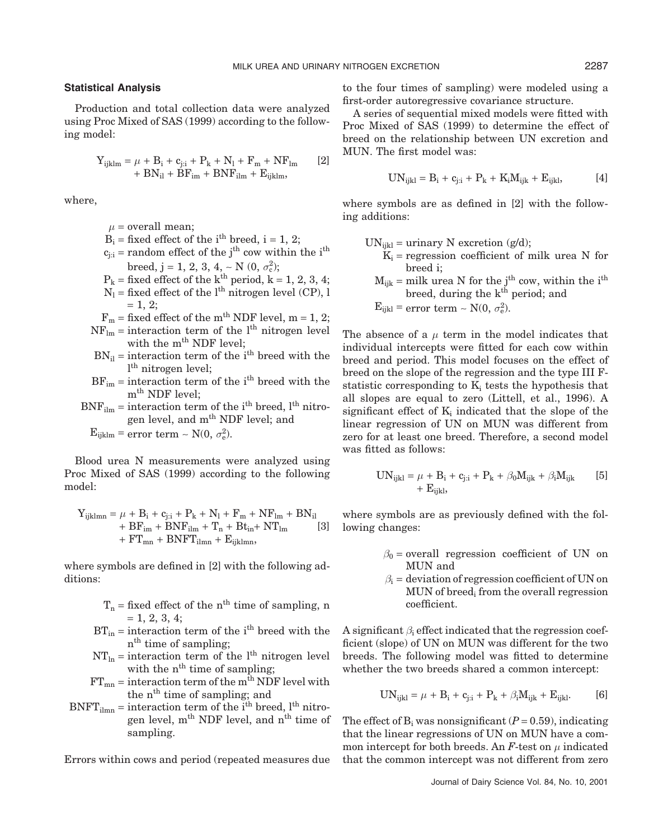#### **Statistical Analysis**

Production and total collection data were analyzed using Proc Mixed of SAS (1999) according to the following model:

$$
Y_{ijklm} = \mu + B_i + c_{j:i} + P_k + N_l + F_m + NF_{lm}
$$
  
+ BN<sub>il</sub> + BF<sub>im</sub> + BNF<sub>ilm</sub> + E<sub>ijklm</sub>,

where,

 $\mu$  = overall mean;

- $B_i$  = fixed effect of the i<sup>th</sup> breed, i = 1, 2;
- $c_{i:i}$  = random effect of the j<sup>th</sup> cow within the i<sup>th</sup> breed, j = 1, 2, 3, 4, ~ N  $(0, \sigma_c^2)$ ;
- $P_k$  = fixed effect of the k<sup>th</sup> period,  $k = 1, 2, 3, 4$ ;
- $N_l$  = fixed effect of the l<sup>th</sup> nitrogen level (CP), l  $= 1, 2;$  $F_m$  = fixed effect of the m<sup>th</sup> NDF level, m = 1, 2;
- 
- $NF_{lm}$  = interaction term of the l<sup>th</sup> nitrogen level with the m<sup>th</sup> NDF level;
- $BN_{il}$  = interaction term of the i<sup>th</sup> breed with the l th nitrogen level;
- $BF_{im}$  = interaction term of the i<sup>th</sup> breed with the m<sup>th</sup> NDF level;
- $BNF_{ilm}$  = interaction term of the i<sup>th</sup> breed, l<sup>th</sup> nitrogen level, and m<sup>th</sup> NDF level; and  $E_{ijklm}$  = error term ~ N(0,  $\sigma_e^2$ ).

Blood urea N measurements were analyzed using Proc Mixed of SAS (1999) according to the following model:

$$
Y_{ijklmn} = \mu + B_i + c_{j:i} + P_k + N_l + F_m + NF_{lm} + BN_{il} + BF_{im} + BNF_{ilm} + T_n + Bt_{in} + NT_{lm}
$$
[3]  
+ FT<sub>mn</sub> + BNFT<sub>ilmn</sub> + E<sub>ijklmn</sub>,

where symbols are defined in [2] with the following additions:

- $T_n$  = fixed effect of the n<sup>th</sup> time of sampling, n  $= 1, 2, 3, 4;$
- $BT_{in}$  = interaction term of the i<sup>th</sup> breed with the n<sup>th</sup> time of sampling;
- $NT<sub>ln</sub>$  = interaction term of the l<sup>th</sup> nitrogen level with the n<sup>th</sup> time of sampling;
- $FT_{mn}$  = interaction term of the m<sup>th</sup> NDF level with the n<sup>th</sup> time of sampling; and
- $BNFT_{\text{ilmn}} =$  interaction term of the i<sup>th</sup> breed, l<sup>th</sup> nitrogen level, m<sup>th</sup> NDF level, and n<sup>th</sup> time of sampling.

Errors within cows and period (repeated measures due

to the four times of sampling) were modeled using a first-order autoregressive covariance structure.

A series of sequential mixed models were fitted with Proc Mixed of SAS (1999) to determine the effect of breed on the relationship between UN excretion and MUN. The first model was:

$$
UN_{ijkl} = B_i + c_{j:i} + P_k + K_i M_{ijk} + E_{ijkl},
$$
 [4]

where symbols are as defined in [2] with the following additions:

- $UN_{ijkl} =$  urinary N excretion (g/d);
	- $K_i$  = regression coefficient of milk urea N for breed i;
	- $M_{ijk}$  = milk urea N for the j<sup>th</sup> cow, within the i<sup>th</sup> breed, during the  $k<sup>th</sup>$  period; and

 $E_{ijkl}$  = error term ~ N(0,  $\sigma_e^2$ ).

The absence of a  $\mu$  term in the model indicates that individual intercepts were fitted for each cow within breed and period. This model focuses on the effect of breed on the slope of the regression and the type III Fstatistic corresponding to  $K_i$  tests the hypothesis that all slopes are equal to zero (Littell, et al., 1996). A significant effect of  $K_i$  indicated that the slope of the linear regression of UN on MUN was different from zero for at least one breed. Therefore, a second model was fitted as follows:

$$
UN_{ijkl} = \mu + B_i + c_{j:i} + P_k + \beta_0 M_{ijk} + \beta_i M_{ijk}
$$
 [5]  
+ E<sub>ijkl</sub>,

where symbols are as previously defined with the following changes:

- $\beta_0$  = overall regression coefficient of UN on MUN and
- $\beta_i$  = deviation of regression coefficient of UN on MUN of breed<sub>i</sub> from the overall regression coefficient.

A significant  $\beta_i$  effect indicated that the regression coefficient (slope) of UN on MUN was different for the two breeds. The following model was fitted to determine whether the two breeds shared a common intercept:

$$
UN_{ijkl} = \mu + B_i + c_{j:i} + P_k + \beta_i M_{ijk} + E_{ijkl}.
$$
 [6]

The effect of  $B_i$  was nonsignificant ( $P = 0.59$ ), indicating that the linear regressions of UN on MUN have a common intercept for both breeds. An  $F$ -test on  $\mu$  indicated that the common intercept was not different from zero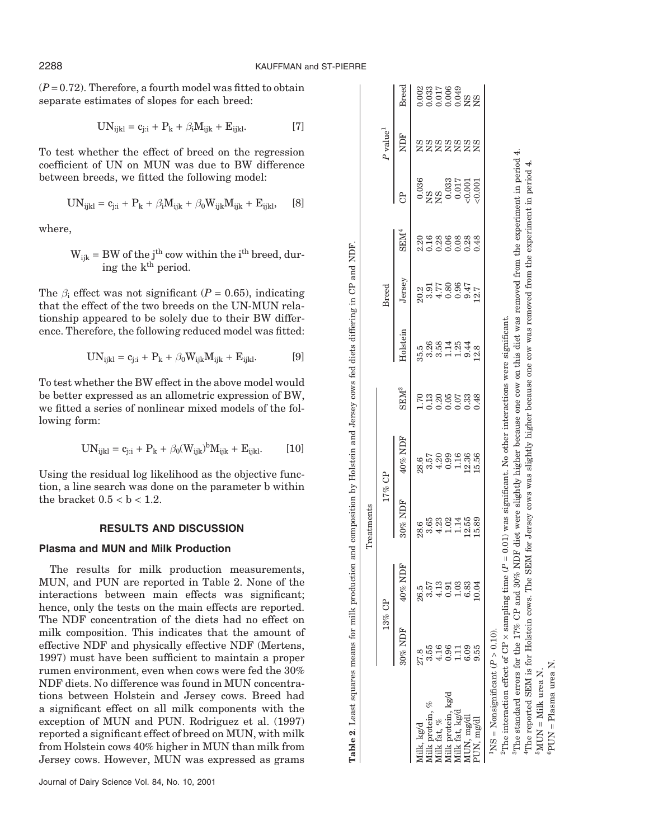$(P=0.72)$ . Therefore, a fourth model was fitted to obtain separate estimates of slopes for each breed:

$$
UN_{ijkl} = c_{j:i} + P_k + \beta_i M_{ijk} + E_{ijkl}. \qquad [7]
$$

To test whether the effect of breed on the regression coefficient of UN on MUN was due to BW difference between breeds, we fitted the following model:

$$
UN_{ijkl} = c_{j:i} + P_k + \beta_i M_{ijk} + \beta_0 W_{ijk} M_{ijk} + E_{ijkl}, \quad [8]
$$

where,

 $W_{ijk}$  = BW of the j<sup>th</sup> cow within the i<sup>th</sup> breed, during the k<sup>th</sup> period.

The  $\beta_i$  effect was not significant ( $P = 0.65$ ), indicating that the effect of the two breeds on the UN-MUN relationship appeared to be solely due to their BW difference. Therefore, the following reduced model was fitted:

$$
UN_{ijkl} = c_{j:i} + P_k + \beta_0 W_{ijk} M_{ijk} + E_{ijkl}. \tag{9}
$$

To test whether the BW effect in the above model would be better expressed as an allometric expression of BW, we fitted a series of nonlinear mixed models of the following form:

$$
UN_{ijkl} = c_{j:i} + P_k + \beta_0 (W_{ijk})^b M_{ijk} + E_{ijkl}.
$$
 [10]

Using the residual log likelihood as the objective function, a line search was done on the parameter b within the bracket  $0.5 < b < 1.2$ .

# **RESULTS AND DISCUSSION**

# **Plasma and MUN and Milk Production**

The results for milk production measurements, MUN, and PUN are reported in Table 2. None of the interactions between main effects was significant; hence, only the tests on the main effects are reported. The NDF concentration of the diets had no effect on milk composition. This indicates that the amount of effective NDF and physically effective NDF (Mertens, 1997) must have been sufficient to maintain a proper rumen environment, even when cows were fed the 30% NDF diets. No difference was found in MUN concentrations between Holstein and Jersey cows. Breed had a significant effect on all milk components with the exception of MUN and PUN. Rodriguez et al. (1997) reported a significant effect of breed on MUN, with milk from Holstein cows 40% higher in MUN than milk from Jersey cows. However, MUN was expressed as grams

|                                                                          |            |                                                                   | Treatments                                                    |                              |                     |          |                                      |                                           |                                                                                                                                                    |                        |                                                                    |
|--------------------------------------------------------------------------|------------|-------------------------------------------------------------------|---------------------------------------------------------------|------------------------------|---------------------|----------|--------------------------------------|-------------------------------------------|----------------------------------------------------------------------------------------------------------------------------------------------------|------------------------|--------------------------------------------------------------------|
|                                                                          |            | 13% CP                                                            | 17% CP                                                        |                              |                     |          | <b>Breed</b>                         |                                           |                                                                                                                                                    | $P$ value <sup>1</sup> |                                                                    |
|                                                                          | $30\%$ NDF | 40% NDF                                                           | 30% NDF                                                       | $40\%$ NDF                   | SEM <sup>3</sup>    | Holstein | Jersey                               | SEM <sup>4</sup>                          | å                                                                                                                                                  | NDF                    | Breed                                                              |
| lilk, kg/d                                                               | 27.8       | 26.5                                                              |                                                               |                              |                     |          |                                      |                                           |                                                                                                                                                    |                        |                                                                    |
| tilk protein,                                                            | 3.55       |                                                                   |                                                               |                              |                     |          |                                      |                                           |                                                                                                                                                    |                        |                                                                    |
| filk fat, %                                                              | 1.16       |                                                                   |                                                               |                              |                     |          |                                      |                                           |                                                                                                                                                    |                        |                                                                    |
| filk protein, kg/d                                                       | 0.96       |                                                                   |                                                               |                              |                     |          |                                      |                                           |                                                                                                                                                    |                        |                                                                    |
| ilk fat, kg/d                                                            | $\Xi$      |                                                                   |                                                               |                              |                     |          |                                      |                                           |                                                                                                                                                    |                        |                                                                    |
|                                                                          | 6.09       | $\begin{array}{c} 57 \\ 0.13 \\ 0.03 \\ 0.03 \\ 0.03 \end{array}$ | 85<br>8533145589<br>84111215                                  | 857<br>852995886<br>84011956 | 13860338<br>1000000 |          | 2017<br>2017<br>2017<br>2018<br>2012 | ត្តមុនខេត្ត<br>បានខេត្តមាន<br>បានខេត្តមាន |                                                                                                                                                    | <b>8888888</b>         | $0.033$<br>$0.033$<br>$0.0033$<br>$0.0033$<br>$0.0008$<br>$0.0008$ |
| AUN, mg/dl<br>PUN, mg/dl                                                 | 9.55       | 0.04                                                              |                                                               |                              |                     |          |                                      |                                           | $\begin{array}{c} 0.036\ \text{NS} \ \text{NS} \ \text{0.033}\ \text{0.033}\ \text{0.017}\ \text{0.001} \ \text{0.001} \ \text{0.001} \end{array}$ |                        |                                                                    |
| $MS = Nonsignificant (P > 0.10)$                                         |            |                                                                   |                                                               |                              |                     |          |                                      |                                           |                                                                                                                                                    |                        |                                                                    |
| <sup>2</sup> The interaction effect of CP $\times$ sampling time ( $P =$ |            |                                                                   | 0.01) was significant. No other interactions were significant |                              |                     |          |                                      |                                           |                                                                                                                                                    |                        |                                                                    |

**Table 2**. Least squares means for milk production and composition by Holstein and Jersey cows fed diets differing in CP and NDF.

Table 2. Least squares means for milk production and composition by Holstein and Jersey cows fed diets differing in CP and NDF

The standard errors for the 17% CP and 30% NDF diet were slightly higher because one cow on this diet was removed from the experiment in period 4. <sup>3</sup>The standard errors for the 17% CP and 30% NDF diet were slightly higher because one cow on this diet was removed from the experiment in period 4. The reported SEM is for Holstein cows. The SEM for Jersey cows was slightly higher because one cow was removed from the experiment in period 4. 4The reported SEM is for Holstein cows. The SEM for Jersey cows was slightly higher because one cow was removed from the experiment in period 4.  $\frac{\delta_{\text{MUN}}}{\delta_{\text{PUN}}}$  = Milk urea N.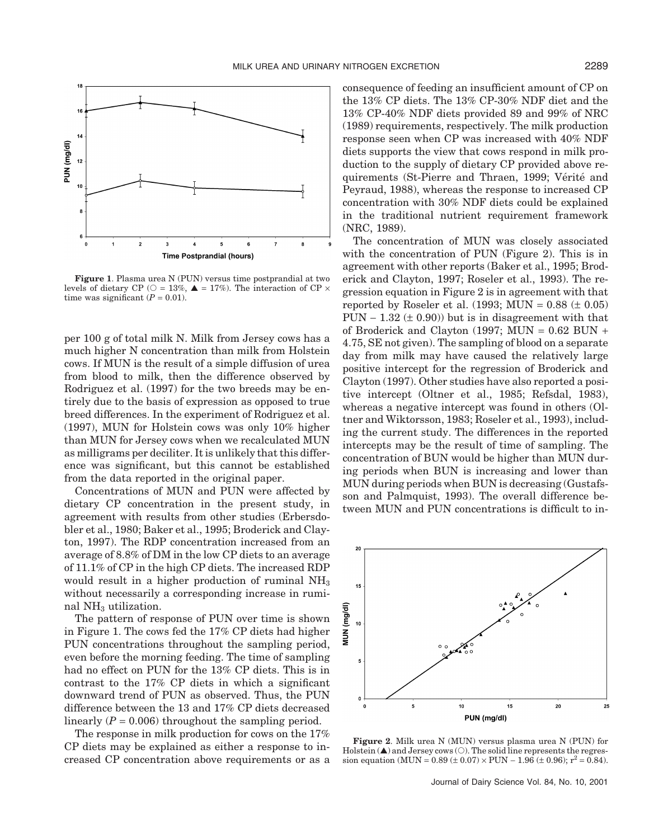

**Figure 1**. Plasma urea N (PUN) versus time postprandial at two levels of dietary CP ( $\circ$  = 13%,  $\blacktriangle$  = 17%). The interaction of CP  $\times$ time was significant  $(P = 0.01)$ .

per 100 g of total milk N. Milk from Jersey cows has a much higher N concentration than milk from Holstein cows. If MUN is the result of a simple diffusion of urea from blood to milk, then the difference observed by Rodriguez et al. (1997) for the two breeds may be entirely due to the basis of expression as opposed to true breed differences. In the experiment of Rodriguez et al. (1997), MUN for Holstein cows was only 10% higher than MUN for Jersey cows when we recalculated MUN as milligrams per deciliter. It is unlikely that this difference was significant, but this cannot be established from the data reported in the original paper.

Concentrations of MUN and PUN were affected by dietary CP concentration in the present study, in agreement with results from other studies (Erbersdobler et al., 1980; Baker et al., 1995; Broderick and Clayton, 1997). The RDP concentration increased from an average of 8.8% of DM in the low CP diets to an average of 11.1% of CP in the high CP diets. The increased RDP would result in a higher production of ruminal  $NH<sub>3</sub>$ without necessarily a corresponding increase in ruminal NH3 utilization.

The pattern of response of PUN over time is shown in Figure 1. The cows fed the 17% CP diets had higher PUN concentrations throughout the sampling period, even before the morning feeding. The time of sampling had no effect on PUN for the 13% CP diets. This is in contrast to the 17% CP diets in which a significant downward trend of PUN as observed. Thus, the PUN difference between the 13 and 17% CP diets decreased linearly  $(P = 0.006)$  throughout the sampling period.

The response in milk production for cows on the 17% CP diets may be explained as either a response to increased CP concentration above requirements or as a consequence of feeding an insufficient amount of CP on the 13% CP diets. The 13% CP-30% NDF diet and the 13% CP-40% NDF diets provided 89 and 99% of NRC (1989) requirements, respectively. The milk production response seen when CP was increased with 40% NDF diets supports the view that cows respond in milk production to the supply of dietary CP provided above requirements (St-Pierre and Thraen, 1999; Vérité and Peyraud, 1988), whereas the response to increased CP concentration with 30% NDF diets could be explained in the traditional nutrient requirement framework (NRC, 1989).

The concentration of MUN was closely associated with the concentration of PUN (Figure 2). This is in agreement with other reports (Baker et al., 1995; Broderick and Clayton, 1997; Roseler et al., 1993). The regression equation in Figure 2 is in agreement with that reported by Roseler et al.  $(1993; MUN = 0.88 \ (t \t 0.05)$ PUN  $-$  1.32 ( $\pm$  0.90)) but is in disagreement with that of Broderick and Clayton (1997; MUN =  $0.62$  BUN + 4.75, SE not given). The sampling of blood on a separate day from milk may have caused the relatively large positive intercept for the regression of Broderick and Clayton (1997). Other studies have also reported a positive intercept (Oltner et al., 1985; Refsdal, 1983), whereas a negative intercept was found in others (Oltner and Wiktorsson, 1983; Roseler et al., 1993), including the current study. The differences in the reported intercepts may be the result of time of sampling. The concentration of BUN would be higher than MUN during periods when BUN is increasing and lower than MUN during periods when BUN is decreasing (Gustafsson and Palmquist, 1993). The overall difference between MUN and PUN concentrations is difficult to in-



**Figure 2**. Milk urea N (MUN) versus plasma urea N (PUN) for  $Holstein(\triangle)$  and Jersey cows  $(\bigcirc)$ . The solid line represents the regression equation (MUN =  $0.89 \pm 0.07$ ) × PUN –  $1.96 \pm 0.96$ );  $r^2 = 0.84$ ).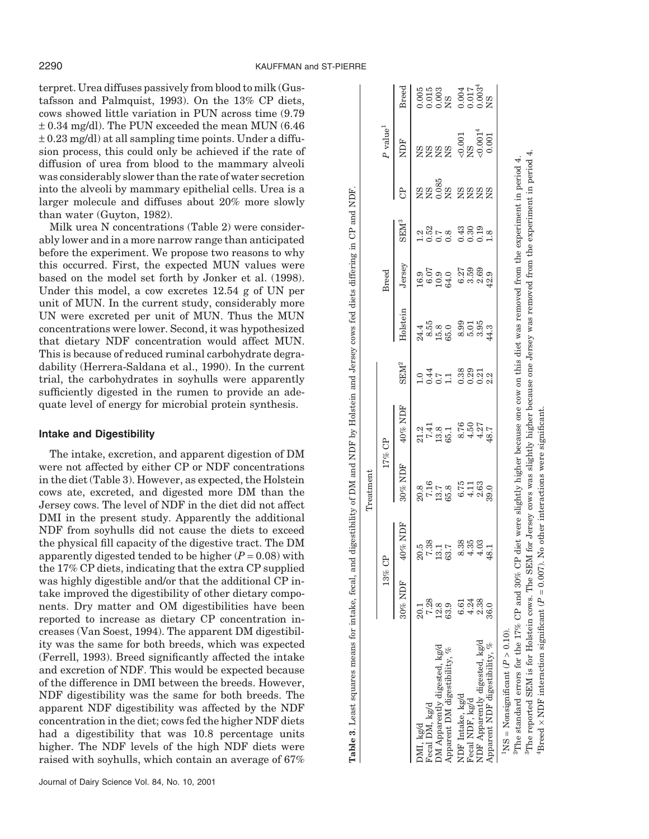terpret. Urea diffuses passively from blood to milk (Gustafsson and Palmquist, 1993). On the 13% CP diets, cows showed little variation in PUN across time (9.79 ± 0.34 mg/dl). The PUN exceeded the mean MUN (6.46  $\pm$  0.23 mg/dl) at all sampling time points. Under a diffusion process, this could only be achieved if the rate of diffusion of urea from blood to the mammary alveoli was considerably slower than the rate of water secretion into the alveoli by mammary epithelial cells. Urea is a larger molecule and diffuses about 20% more slowly than water (Guyton, 1982).

Milk urea N concentrations (Table 2) were considerably lower and in a more narrow range than anticipated before the experiment. We propose two reasons to why this occurred. First, the expected MUN values were based on the model set forth by Jonker et al. (1998). Under this model, a cow excretes 12.54 g of UN per unit of MUN. In the current study, considerably more UN were excreted per unit of MUN. Thus the MUN concentrations were lower. Second, it was hypothesized that dietary NDF concentration would affect MUN. This is because of reduced ruminal carbohydrate degradability (Herrera-Saldana et al., 1990). In the current trial, the carbohydrates in soyhulls were apparently sufficiently digested in the rumen to provide an adequate level of energy for microbial protein synthesis.

# **Intake and Digestibility**

The intake, excretion, and apparent digestion of DM were not affected by either CP or NDF concentrations in the diet (Table 3). However, as expected, the Holstein cows ate, excreted, and digested more DM than the Jersey cows. The level of NDF in the diet did not affect DMI in the present study. Apparently the additional NDF from soyhulls did not cause the diets to exceed the physical fill capacity of the digestive tract. The DM apparently digested tended to be higher  $(P = 0.08)$  with the 17% CP diets, indicating that the extra CP supplied was highly digestible and/or that the additional CP intake improved the digestibility of other dietary components. Dry matter and OM digestibilities have been reported to increase as dietary CP concentration increases (Van Soest, 1994). The apparent DM digestibility was the same for both breeds, which was expected (Ferrell, 1993). Breed significantly affected the intake and excretion of NDF. This would be expected because of the difference in DMI between the breeds. However, NDF digestibility was the same for both breeds. The apparent NDF digestibility was affected by the NDF concentration in the diet; cows fed the higher NDF diets had a digestibility that was 10.8 percentage units higher. The NDF levels of the high NDF diets were raised with soyhulls, which contain an average of 67%

| NDF<br>n 88<br>2008<br>2008 2009<br>ಕಿ<br>SEM <sup>3</sup><br>$1.52$<br>$1.52$<br>$1.53$<br>$1.53$<br>$1.53$<br>$1.53$<br>$1.53$<br>$1.53$<br>Jersey<br><b>Breed</b><br>Holstein<br>${\bf SEM}^2$<br>04151 8881<br>0001 88921<br>$40\%$ NDF<br>$21.2$<br>$7.41$<br>$65.1$<br>$65.76$<br>$4.427$<br>$4.49$<br>17% CP<br>30% NDF<br>20.8<br>7.16<br>5.8<br>6.75<br>4.163<br>39.0<br>40% NDF<br>20.5<br>7.33<br>13.7<br>63.7<br>$8.35$<br>$6.35$<br>$4.45$<br>$4.9$<br>13% CP<br>$30\%$ NDF<br>7.28<br>4.24<br>2.38<br>6.61<br>12.8<br>63.9<br>36.0<br>NDF Apparently digested, kg/d<br>Apparent NDF digestibility, %<br>OM Apparently digested, kg/d<br>Apparent DM digestibility, %<br>NDF Intake, kg/d<br>Fecal NDF, kg/d<br>Fecal DM, kg/d<br>MI, kg/d |  | Treatment |  |  |  |                        |                                                         |
|---------------------------------------------------------------------------------------------------------------------------------------------------------------------------------------------------------------------------------------------------------------------------------------------------------------------------------------------------------------------------------------------------------------------------------------------------------------------------------------------------------------------------------------------------------------------------------------------------------------------------------------------------------------------------------------------------------------------------------------------------------|--|-----------|--|--|--|------------------------|---------------------------------------------------------|
|                                                                                                                                                                                                                                                                                                                                                                                                                                                                                                                                                                                                                                                                                                                                                         |  |           |  |  |  | $P$ value <sup>1</sup> |                                                         |
|                                                                                                                                                                                                                                                                                                                                                                                                                                                                                                                                                                                                                                                                                                                                                         |  |           |  |  |  |                        | Breed                                                   |
|                                                                                                                                                                                                                                                                                                                                                                                                                                                                                                                                                                                                                                                                                                                                                         |  |           |  |  |  |                        |                                                         |
|                                                                                                                                                                                                                                                                                                                                                                                                                                                                                                                                                                                                                                                                                                                                                         |  |           |  |  |  |                        |                                                         |
|                                                                                                                                                                                                                                                                                                                                                                                                                                                                                                                                                                                                                                                                                                                                                         |  |           |  |  |  |                        |                                                         |
|                                                                                                                                                                                                                                                                                                                                                                                                                                                                                                                                                                                                                                                                                                                                                         |  |           |  |  |  |                        | 005<br>0015<br>0008<br>00017<br>00003<br>00002<br>20002 |
|                                                                                                                                                                                                                                                                                                                                                                                                                                                                                                                                                                                                                                                                                                                                                         |  |           |  |  |  |                        |                                                         |
|                                                                                                                                                                                                                                                                                                                                                                                                                                                                                                                                                                                                                                                                                                                                                         |  |           |  |  |  |                        |                                                         |
|                                                                                                                                                                                                                                                                                                                                                                                                                                                                                                                                                                                                                                                                                                                                                         |  |           |  |  |  |                        |                                                         |
|                                                                                                                                                                                                                                                                                                                                                                                                                                                                                                                                                                                                                                                                                                                                                         |  |           |  |  |  |                        |                                                         |

The reported SEM is for Holstein cows. The SEM for Jersey cows was slightly higher because one Jersey was removed from the experiment in period 4. 3The reported SEM is for Holstein cows. The SEM for Jersey cows was slightly higher because one Jersey was removed from the experiment in period 4. <sup>2</sup>The standard errors for the 17% CP and 30% CP diet were slightly higher because one cow on this diet was removed from the experiment in period 4. experiment in beriod ЦП ЦИЛИТ **TETTIOA** w as dm uщ one cow on *P* = 0.007). No other interactions were significant. $= 0.007$ ). No other interactions were significant. because diet were slightly higher È and  $50\%$ interaction significant  $(P)$ 4Breed × NDF interaction significant ( È The standard errors for the 17%  ${}^4\textrm{Breed} \times \textrm{NDF}$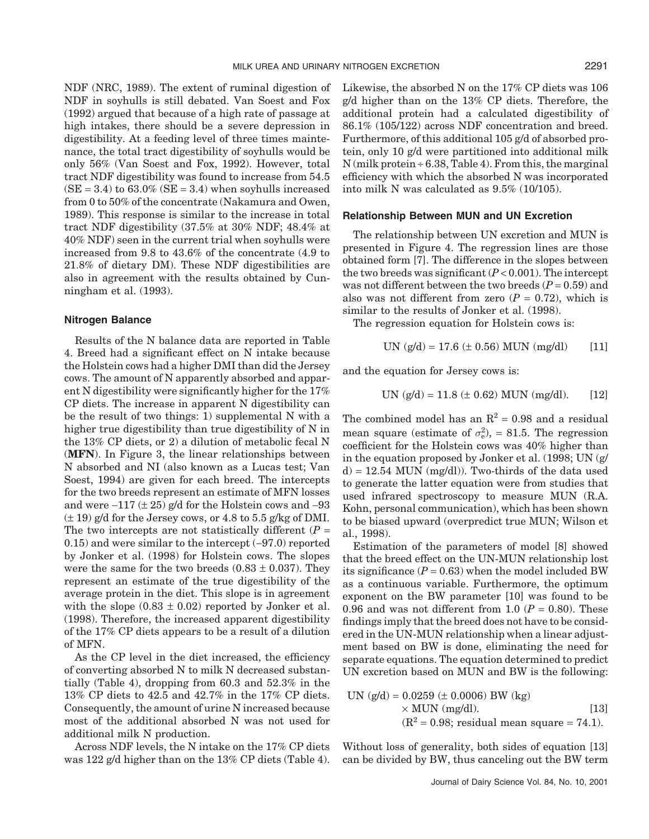NDF (NRC, 1989). The extent of ruminal digestion of NDF in soyhulls is still debated. Van Soest and Fox (1992) argued that because of a high rate of passage at high intakes, there should be a severe depression in digestibility. At a feeding level of three times maintenance, the total tract digestibility of soyhulls would be only 56% (Van Soest and Fox, 1992). However, total tract NDF digestibility was found to increase from 54.5  $(SE = 3.4)$  to 63.0%  $(SE = 3.4)$  when soyhulls increased from 0 to 50% of the concentrate (Nakamura and Owen, 1989). This response is similar to the increase in total tract NDF digestibility (37.5% at 30% NDF; 48.4% at 40% NDF) seen in the current trial when soyhulls were increased from 9.8 to 43.6% of the concentrate (4.9 to 21.8% of dietary DM). These NDF digestibilities are also in agreement with the results obtained by Cunningham et al. (1993).

#### **Nitrogen Balance**

Results of the N balance data are reported in Table 4. Breed had a significant effect on N intake because the Holstein cows had a higher DMI than did the Jersey cows. The amount of N apparently absorbed and apparent N digestibility were significantly higher for the 17% CP diets. The increase in apparent N digestibility can be the result of two things: 1) supplemental N with a higher true digestibility than true digestibility of N in the 13% CP diets, or 2) a dilution of metabolic fecal N (**MFN**). In Figure 3, the linear relationships between N absorbed and NI (also known as a Lucas test; Van Soest, 1994) are given for each breed. The intercepts for the two breeds represent an estimate of MFN losses and were  $-117$  ( $\pm 25$ ) g/d for the Holstein cows and  $-93$  $(\pm 19)$  g/d for the Jersey cows, or 4.8 to 5.5 g/kg of DMI. The two intercepts are not statistically different  $(P =$ 0.15) and were similar to the intercept (−97.0) reported by Jonker et al. (1998) for Holstein cows. The slopes were the same for the two breeds  $(0.83 \pm 0.037)$ . They represent an estimate of the true digestibility of the average protein in the diet. This slope is in agreement with the slope  $(0.83 \pm 0.02)$  reported by Jonker et al. (1998). Therefore, the increased apparent digestibility of the 17% CP diets appears to be a result of a dilution of MFN.

As the CP level in the diet increased, the efficiency of converting absorbed N to milk N decreased substantially (Table 4), dropping from 60.3 and 52.3% in the 13% CP diets to 42.5 and 42.7% in the 17% CP diets. Consequently, the amount of urine N increased because most of the additional absorbed N was not used for additional milk N production.

Across NDF levels, the N intake on the 17% CP diets was 122 g/d higher than on the 13% CP diets (Table 4). Likewise, the absorbed N on the 17% CP diets was 106 g/d higher than on the 13% CP diets. Therefore, the additional protein had a calculated digestibility of 86.1% (105/122) across NDF concentration and breed. Furthermore, of this additional 105 g/d of absorbed protein, only 10 g/d were partitioned into additional milk  $N$ (milk protein  $\div$  6.38, Table 4). From this, the marginal efficiency with which the absorbed N was incorporated into milk N was calculated as 9.5% (10/105).

## **Relationship Between MUN and UN Excretion**

The relationship between UN excretion and MUN is presented in Figure 4. The regression lines are those obtained form [7]. The difference in the slopes between the two breeds was significant  $(P < 0.001)$ . The intercept was not different between the two breeds  $(P = 0.59)$  and also was not different from zero  $(P = 0.72)$ , which is similar to the results of Jonker et al. (1998).

The regression equation for Holstein cows is:

UN 
$$
(g/d) = 17.6 \ (\pm 0.56)
$$
 MUN  $(mg/dl)$  [11]

and the equation for Jersey cows is:

UN 
$$
(g/d) = 11.8 \pm 0.62
$$
 MUN  $(mg/dl)$ . [12]

The combined model has an  $\mathbb{R}^2 = 0.98$  and a residual mean square (estimate of  $\sigma_{\rm e}^2$ ), = 81.5. The regression coefficient for the Holstein cows was 40% higher than in the equation proposed by Jonker et al. (1998; UN (g/  $d = 12.54$  MUN (mg/dl)). Two-thirds of the data used to generate the latter equation were from studies that used infrared spectroscopy to measure MUN (R.A. Kohn, personal communication), which has been shown to be biased upward (overpredict true MUN; Wilson et al., 1998).

Estimation of the parameters of model [8] showed that the breed effect on the UN-MUN relationship lost its significance  $(P = 0.63)$  when the model included BW as a continuous variable. Furthermore, the optimum exponent on the BW parameter [10] was found to be 0.96 and was not different from 1.0  $(P = 0.80)$ . These findings imply that the breed does not have to be considered in the UN-MUN relationship when a linear adjustment based on BW is done, eliminating the need for separate equations. The equation determined to predict UN excretion based on MUN and BW is the following:

UN 
$$
(g/d) = 0.0259 \text{ (+ } 0.0006) \text{ BW (kg)}
$$
  
× MUN (mg/dl). [13]  
 $(R^2 = 0.98; \text{ residual mean square} = 74.1).$ 

Without loss of generality, both sides of equation [13] can be divided by BW, thus canceling out the BW term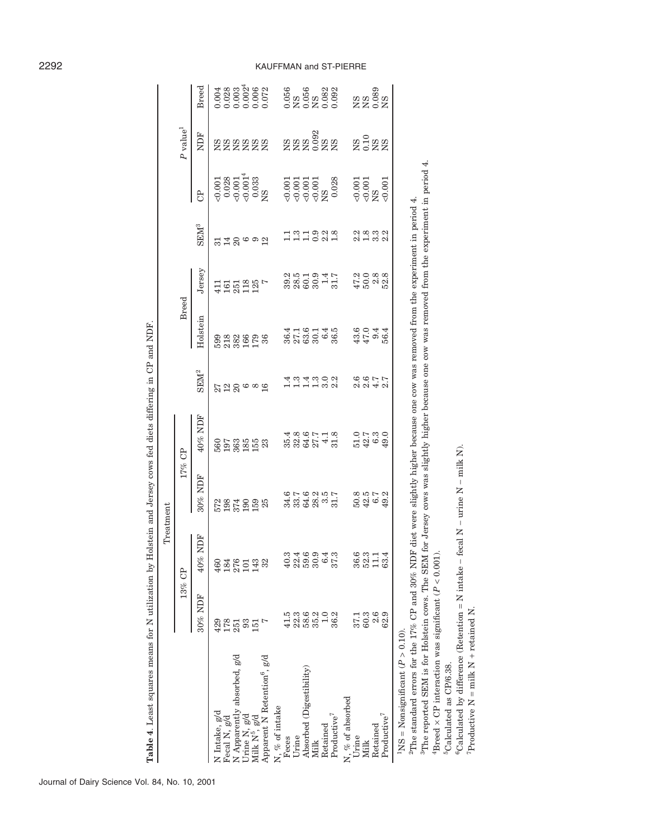|                                                                                                                                                                                        |                        | Treatment            |                    |                                |                                 |                                               |                           |                            |                                                                                                           |                                                                  |                             |
|----------------------------------------------------------------------------------------------------------------------------------------------------------------------------------------|------------------------|----------------------|--------------------|--------------------------------|---------------------------------|-----------------------------------------------|---------------------------|----------------------------|-----------------------------------------------------------------------------------------------------------|------------------------------------------------------------------|-----------------------------|
|                                                                                                                                                                                        |                        | 13% CP               |                    | 17% CP                         |                                 | <b>Breed</b>                                  |                           |                            |                                                                                                           | $P$ value <sup>1</sup>                                           |                             |
|                                                                                                                                                                                        | 30% NDF                | NDF<br>40%           | 30% NDF            | 40% NDF                        | ${\rm SEM}^2$                   | Holstein                                      | Jersey                    | <b>SEM3</b>                | $\overline{5}$                                                                                            | NDF                                                              | Breed                       |
| N Intake, g/d                                                                                                                                                                          | 429                    | 460                  |                    |                                |                                 |                                               |                           |                            |                                                                                                           |                                                                  |                             |
| Fecal N, g/d                                                                                                                                                                           | 178                    | 184                  |                    |                                |                                 |                                               |                           |                            |                                                                                                           |                                                                  |                             |
| N Apparently absorbed, g/d                                                                                                                                                             | 251                    | 276<br>101           |                    |                                | 5280099                         |                                               | <b>HEGES</b> <sup>7</sup> | 528692                     |                                                                                                           |                                                                  |                             |
| Urine N, g/d<br>Milk N <sup>5</sup> , g/d                                                                                                                                              | 93                     |                      |                    |                                |                                 |                                               |                           |                            |                                                                                                           |                                                                  |                             |
|                                                                                                                                                                                        | 151                    | 143                  |                    |                                |                                 |                                               |                           |                            |                                                                                                           |                                                                  |                             |
| Apparent N Retention <sup>6</sup> , g/d                                                                                                                                                |                        | 32                   | 5284998            | 5953553                        |                                 | <b>8888558</b><br>888558                      |                           |                            | $\begin{array}{l} 0.001\\ 0.028\\ 0.001\\ 0.001\\ 0.033\\ \textrm{C} \\ 0.033\\ \textrm{K} \end{array}$   | common common<br>Common common<br>Common common<br>Common common |                             |
| N, % of intake                                                                                                                                                                         |                        |                      |                    |                                |                                 |                                               |                           |                            |                                                                                                           |                                                                  |                             |
| Feces                                                                                                                                                                                  | 41.5                   | 40.3                 |                    |                                |                                 |                                               |                           |                            |                                                                                                           |                                                                  |                             |
| Urine                                                                                                                                                                                  |                        |                      |                    |                                |                                 |                                               |                           |                            |                                                                                                           |                                                                  |                             |
| Absorbed (Digestibility)                                                                                                                                                               |                        |                      |                    |                                |                                 |                                               |                           |                            |                                                                                                           |                                                                  |                             |
| Milk                                                                                                                                                                                   | 22.6<br>28.62<br>35.93 | 460.<br>2000<br>2000 |                    |                                |                                 |                                               |                           |                            |                                                                                                           |                                                                  |                             |
| Retained                                                                                                                                                                               |                        | 6.4                  |                    |                                | 4 : 4 : 5 0 2<br>4 : 4 1 1 2 2  |                                               |                           | 131333                     |                                                                                                           |                                                                  |                             |
| $\ensuremath{\mathrm{Product}}\xspace^7$                                                                                                                                               | 36.2                   | 37.3                 | 6762357<br>5558575 | 533474335489548954             |                                 | 4 1 1 6 1 4 5<br>8 5 1 6 9 6 9<br>8 8 9 8 9 8 |                           |                            | $\frac{0.001}{0.001}$<br>$\frac{0.001}{0.001}$<br>$\frac{0.001}{0.028}$                                   |                                                                  |                             |
| N, % of absorbed                                                                                                                                                                       |                        |                      |                    |                                |                                 |                                               |                           |                            |                                                                                                           |                                                                  |                             |
| Urine                                                                                                                                                                                  | 37.1                   | 36.6                 |                    | $1.300$<br>$49.000$<br>$49.00$ |                                 | $47.0$<br>$47.9$<br>$56.4$                    | $47088$<br>$40988$        |                            | $\begin{array}{c} 0.001 \\ 0.001 \\ \nabla \mathbf{S} \\ 0.001 \\ \nabla \mathbf{S} \\ 0.001 \end{array}$ | gegg                                                             | <b>889<br/>2898</b><br>2898 |
| Milk                                                                                                                                                                                   | 60.3                   | $52.3$<br>11.1       |                    |                                |                                 |                                               |                           |                            |                                                                                                           |                                                                  |                             |
| Retained                                                                                                                                                                               | 2.6                    |                      | 50573<br>504694    |                                | 0 0 1 1<br>0 0 1 4 0<br>0 0 4 0 |                                               |                           | 21 81 91 91<br>21 91 91 91 |                                                                                                           |                                                                  |                             |
| Productive <sup>7</sup>                                                                                                                                                                | 62.9                   | 63.4                 |                    |                                |                                 |                                               |                           |                            |                                                                                                           |                                                                  |                             |
| where the properties of the 1700 NOD NO 2000 NOD No. The Holder High School and also also may be a from the second in order to $\Lambda$<br>$^{1}NS = N$ onsignificant ( $P > 0.10$ ). |                        |                      |                    |                                |                                 |                                               |                           |                            |                                                                                                           |                                                                  |                             |

Table 4. Least squares means for N utilization by Holstein and Jersey cows fed diets differing in CP and NDF.

<sup>2</sup>The standard errors for the 17% CP and 30% NDF diet were slightly higher because one cow was removed from the experiment in period 4.

"The standard errors for the 17% CP and 30% NDF diet were slightly higher because one cow was removed from the experiment in period 4.<br><sup>3</sup>The reported SEM is for Holstein cows. The SEM for Jersey cows was slightly higher <sup>3</sup>The reported SEM is for Holstein cows. The SEM for Jersey cows was slightly higher because one cow was removed from the experiment in period 4.  $\frac{1}{2}$  Ereed  $\times$  CP interaction was significant ( $P < 0.001$ ).  $P < 0.001$ ). 4Breed × CP interaction was significant (

5Calculated as CP/6.38.

 $^{5}$  Calculated as CPf6.38. <br>  $^{6}$  Calculated by difference (Retention = N intake – fecal N – urine N – milk N). <br>  $^{7}$  Productive N = milk N + retained N. 6Calculated by difference (Retention = N intake − fecal N − urine N − milk N). 7Productive N = milk N + retained N.

# 2292 KAUFFMAN and ST-PIERRE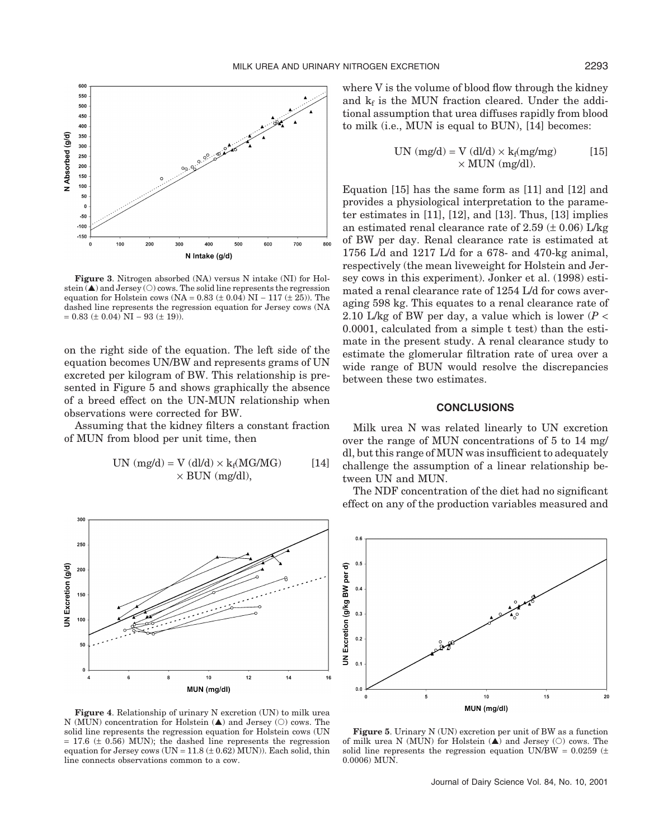

**Figure 3**. Nitrogen absorbed (NA) versus N intake (NI) for Holstein  $(\triangle)$  and Jersey  $\circlearrowright)$  cows. The solid line represents the regression equation for Holstein cows (NA =  $0.83 \ (\pm 0.04) \text{ N}$  –  $117 \ (\pm 25)$ ). The dashed line represents the regression equation for Jersey cows (NA  $= 0.83 \pm 0.04$  NI – 93  $(\pm 19)$ ).

on the right side of the equation. The left side of the equation becomes UN/BW and represents grams of UN excreted per kilogram of BW. This relationship is presented in Figure 5 and shows graphically the absence of a breed effect on the UN-MUN relationship when observations were corrected for BW.

Assuming that the kidney filters a constant fraction of MUN from blood per unit time, then

UN (mg/d) = V (dl/d) × kf(MG/MG) [14] × BUN (mg/dl),



**Figure 4**. Relationship of urinary N excretion (UN) to milk urea N (MUN) concentration for Holstein  $(\triangle)$  and Jersey  $(\bigcirc)$  cows. The solid line represents the regression equation for Holstein cows (UN  $= 17.6 \ (\pm 0.56)$  MUN); the dashed line represents the regression equation for Jersey cows (UN =  $11.8 \ (\pm 0.62)$  MUN)). Each solid, thin line connects observations common to a cow.

where V is the volume of blood flow through the kidney and  $k_f$  is the MUN fraction cleared. Under the additional assumption that urea diffuses rapidly from blood to milk (i.e., MUN is equal to BUN), [14] becomes:

UN (mg/d) = V (dl/d) × kf(mg/mg) [15] × MUN (mg/dl).

Equation [15] has the same form as [11] and [12] and provides a physiological interpretation to the parameter estimates in [11], [12], and [13]. Thus, [13] implies an estimated renal clearance rate of 2.59  $(\pm 0.06)$  L/kg of BW per day. Renal clearance rate is estimated at 1756 L/d and 1217 L/d for a 678- and 470-kg animal, respectively (the mean liveweight for Holstein and Jersey cows in this experiment). Jonker et al. (1998) estimated a renal clearance rate of 1254 L/d for cows averaging 598 kg. This equates to a renal clearance rate of 2.10 L/kg of BW per day, a value which is lower  $(P <$ 0.0001, calculated from a simple t test) than the estimate in the present study. A renal clearance study to estimate the glomerular filtration rate of urea over a wide range of BUN would resolve the discrepancies between these two estimates.

## **CONCLUSIONS**

Milk urea N was related linearly to UN excretion over the range of MUN concentrations of 5 to 14 mg/ dl, but this range of MUN was insufficient to adequately challenge the assumption of a linear relationship between UN and MUN.

The NDF concentration of the diet had no significant effect on any of the production variables measured and



**Figure 5**. Urinary N (UN) excretion per unit of BW as a function of milk urea N (MUN) for Holstein  $(\triangle)$  and Jersey ( $\circ$ ) cows. The solid line represents the regression equation UN/BW =  $0.0259$  ( $\pm$ 0.0006) MUN.